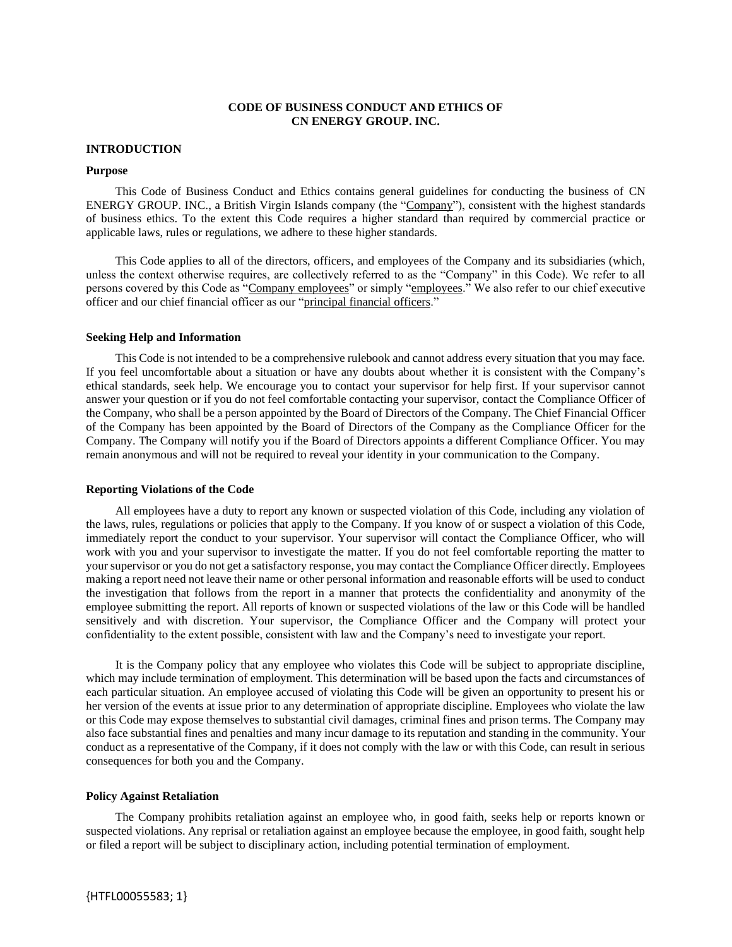## **CODE OF BUSINESS CONDUCT AND ETHICS OF CN ENERGY GROUP. INC.**

#### **INTRODUCTION**

#### **Purpose**

This Code of Business Conduct and Ethics contains general guidelines for conducting the business of CN ENERGY GROUP. INC., a British Virgin Islands company (the "Company"), consistent with the highest standards of business ethics. To the extent this Code requires a higher standard than required by commercial practice or applicable laws, rules or regulations, we adhere to these higher standards.

This Code applies to all of the directors, officers, and employees of the Company and its subsidiaries (which, unless the context otherwise requires, are collectively referred to as the "Company" in this Code). We refer to all persons covered by this Code as "Company employees" or simply "employees." We also refer to our chief executive officer and our chief financial officer as our "principal financial officers."

#### **Seeking Help and Information**

This Code is not intended to be a comprehensive rulebook and cannot address every situation that you may face. If you feel uncomfortable about a situation or have any doubts about whether it is consistent with the Company's ethical standards, seek help. We encourage you to contact your supervisor for help first. If your supervisor cannot answer your question or if you do not feel comfortable contacting your supervisor, contact the Compliance Officer of the Company, who shall be a person appointed by the Board of Directors of the Company. The Chief Financial Officer of the Company has been appointed by the Board of Directors of the Company as the Compliance Officer for the Company. The Company will notify you if the Board of Directors appoints a different Compliance Officer. You may remain anonymous and will not be required to reveal your identity in your communication to the Company.

#### **Reporting Violations of the Code**

All employees have a duty to report any known or suspected violation of this Code, including any violation of the laws, rules, regulations or policies that apply to the Company. If you know of or suspect a violation of this Code, immediately report the conduct to your supervisor. Your supervisor will contact the Compliance Officer, who will work with you and your supervisor to investigate the matter. If you do not feel comfortable reporting the matter to your supervisor or you do not get a satisfactory response, you may contact the Compliance Officer directly. Employees making a report need not leave their name or other personal information and reasonable efforts will be used to conduct the investigation that follows from the report in a manner that protects the confidentiality and anonymity of the employee submitting the report. All reports of known or suspected violations of the law or this Code will be handled sensitively and with discretion. Your supervisor, the Compliance Officer and the Company will protect your confidentiality to the extent possible, consistent with law and the Company's need to investigate your report.

It is the Company policy that any employee who violates this Code will be subject to appropriate discipline, which may include termination of employment. This determination will be based upon the facts and circumstances of each particular situation. An employee accused of violating this Code will be given an opportunity to present his or her version of the events at issue prior to any determination of appropriate discipline. Employees who violate the law or this Code may expose themselves to substantial civil damages, criminal fines and prison terms. The Company may also face substantial fines and penalties and many incur damage to its reputation and standing in the community. Your conduct as a representative of the Company, if it does not comply with the law or with this Code, can result in serious consequences for both you and the Company.

## **Policy Against Retaliation**

The Company prohibits retaliation against an employee who, in good faith, seeks help or reports known or suspected violations. Any reprisal or retaliation against an employee because the employee, in good faith, sought help or filed a report will be subject to disciplinary action, including potential termination of employment.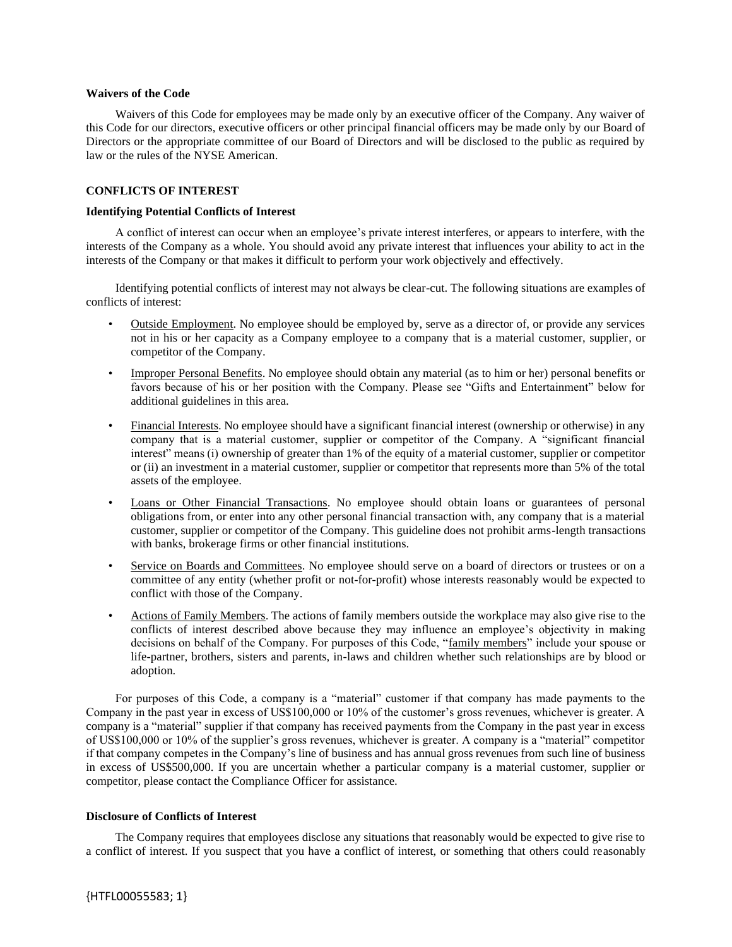#### **Waivers of the Code**

Waivers of this Code for employees may be made only by an executive officer of the Company. Any waiver of this Code for our directors, executive officers or other principal financial officers may be made only by our Board of Directors or the appropriate committee of our Board of Directors and will be disclosed to the public as required by law or the rules of the NYSE American.

## **CONFLICTS OF INTEREST**

## **Identifying Potential Conflicts of Interest**

A conflict of interest can occur when an employee's private interest interferes, or appears to interfere, with the interests of the Company as a whole. You should avoid any private interest that influences your ability to act in the interests of the Company or that makes it difficult to perform your work objectively and effectively.

Identifying potential conflicts of interest may not always be clear-cut. The following situations are examples of conflicts of interest:

- Outside Employment. No employee should be employed by, serve as a director of, or provide any services not in his or her capacity as a Company employee to a company that is a material customer, supplier, or competitor of the Company.
- Improper Personal Benefits. No employee should obtain any material (as to him or her) personal benefits or favors because of his or her position with the Company. Please see "Gifts and Entertainment" below for additional guidelines in this area.
- Financial Interests. No employee should have a significant financial interest (ownership or otherwise) in any company that is a material customer, supplier or competitor of the Company. A "significant financial interest" means (i) ownership of greater than 1% of the equity of a material customer, supplier or competitor or (ii) an investment in a material customer, supplier or competitor that represents more than 5% of the total assets of the employee.
- Loans or Other Financial Transactions. No employee should obtain loans or guarantees of personal obligations from, or enter into any other personal financial transaction with, any company that is a material customer, supplier or competitor of the Company. This guideline does not prohibit arms-length transactions with banks, brokerage firms or other financial institutions.
- Service on Boards and Committees. No employee should serve on a board of directors or trustees or on a committee of any entity (whether profit or not-for-profit) whose interests reasonably would be expected to conflict with those of the Company.
- Actions of Family Members. The actions of family members outside the workplace may also give rise to the conflicts of interest described above because they may influence an employee's objectivity in making decisions on behalf of the Company. For purposes of this Code, "family members" include your spouse or life-partner, brothers, sisters and parents, in-laws and children whether such relationships are by blood or adoption.

For purposes of this Code, a company is a "material" customer if that company has made payments to the Company in the past year in excess of US\$100,000 or 10% of the customer's gross revenues, whichever is greater. A company is a "material" supplier if that company has received payments from the Company in the past year in excess of US\$100,000 or 10% of the supplier's gross revenues, whichever is greater. A company is a "material" competitor if that company competes in the Company's line of business and has annual gross revenues from such line of business in excess of US\$500,000. If you are uncertain whether a particular company is a material customer, supplier or competitor, please contact the Compliance Officer for assistance.

# **Disclosure of Conflicts of Interest**

The Company requires that employees disclose any situations that reasonably would be expected to give rise to a conflict of interest. If you suspect that you have a conflict of interest, or something that others could reasonably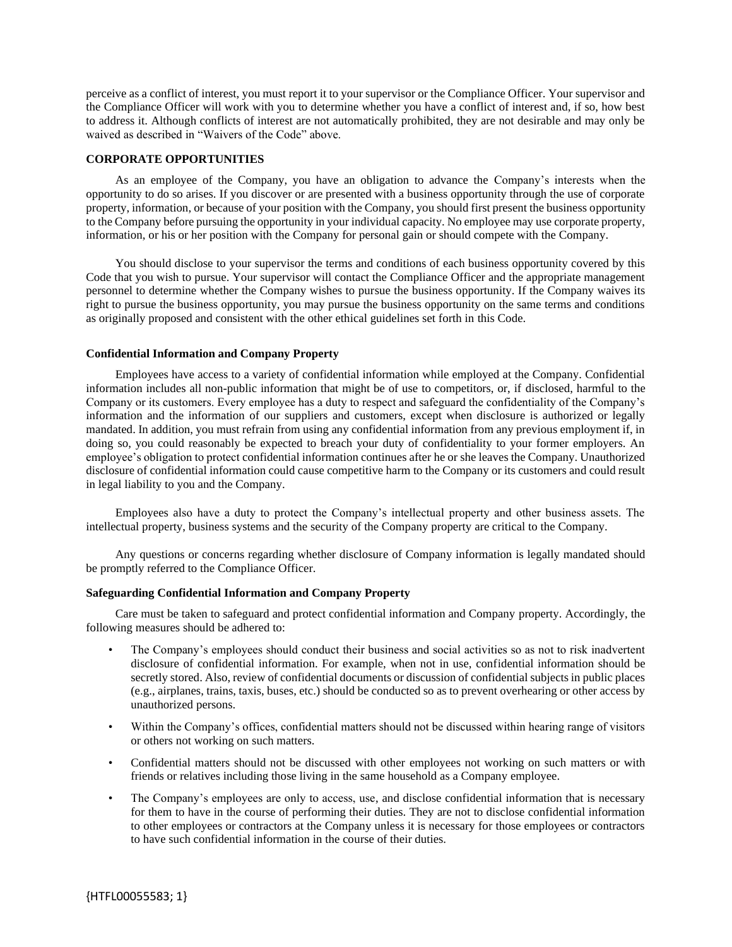perceive as a conflict of interest, you must report it to your supervisor or the Compliance Officer. Your supervisor and the Compliance Officer will work with you to determine whether you have a conflict of interest and, if so, how best to address it. Although conflicts of interest are not automatically prohibited, they are not desirable and may only be waived as described in "Waivers of the Code" above.

## **CORPORATE OPPORTUNITIES**

As an employee of the Company, you have an obligation to advance the Company's interests when the opportunity to do so arises. If you discover or are presented with a business opportunity through the use of corporate property, information, or because of your position with the Company, you should first present the business opportunity to the Company before pursuing the opportunity in your individual capacity. No employee may use corporate property, information, or his or her position with the Company for personal gain or should compete with the Company.

You should disclose to your supervisor the terms and conditions of each business opportunity covered by this Code that you wish to pursue. Your supervisor will contact the Compliance Officer and the appropriate management personnel to determine whether the Company wishes to pursue the business opportunity. If the Company waives its right to pursue the business opportunity, you may pursue the business opportunity on the same terms and conditions as originally proposed and consistent with the other ethical guidelines set forth in this Code.

#### **Confidential Information and Company Property**

Employees have access to a variety of confidential information while employed at the Company. Confidential information includes all non-public information that might be of use to competitors, or, if disclosed, harmful to the Company or its customers. Every employee has a duty to respect and safeguard the confidentiality of the Company's information and the information of our suppliers and customers, except when disclosure is authorized or legally mandated. In addition, you must refrain from using any confidential information from any previous employment if, in doing so, you could reasonably be expected to breach your duty of confidentiality to your former employers. An employee's obligation to protect confidential information continues after he or she leaves the Company. Unauthorized disclosure of confidential information could cause competitive harm to the Company or its customers and could result in legal liability to you and the Company.

Employees also have a duty to protect the Company's intellectual property and other business assets. The intellectual property, business systems and the security of the Company property are critical to the Company.

Any questions or concerns regarding whether disclosure of Company information is legally mandated should be promptly referred to the Compliance Officer.

#### **Safeguarding Confidential Information and Company Property**

Care must be taken to safeguard and protect confidential information and Company property. Accordingly, the following measures should be adhered to:

- The Company's employees should conduct their business and social activities so as not to risk inadvertent disclosure of confidential information. For example, when not in use, confidential information should be secretly stored. Also, review of confidential documents or discussion of confidential subjects in public places (e.g., airplanes, trains, taxis, buses, etc.) should be conducted so as to prevent overhearing or other access by unauthorized persons.
- Within the Company's offices, confidential matters should not be discussed within hearing range of visitors or others not working on such matters.
- Confidential matters should not be discussed with other employees not working on such matters or with friends or relatives including those living in the same household as a Company employee.
- The Company's employees are only to access, use, and disclose confidential information that is necessary for them to have in the course of performing their duties. They are not to disclose confidential information to other employees or contractors at the Company unless it is necessary for those employees or contractors to have such confidential information in the course of their duties.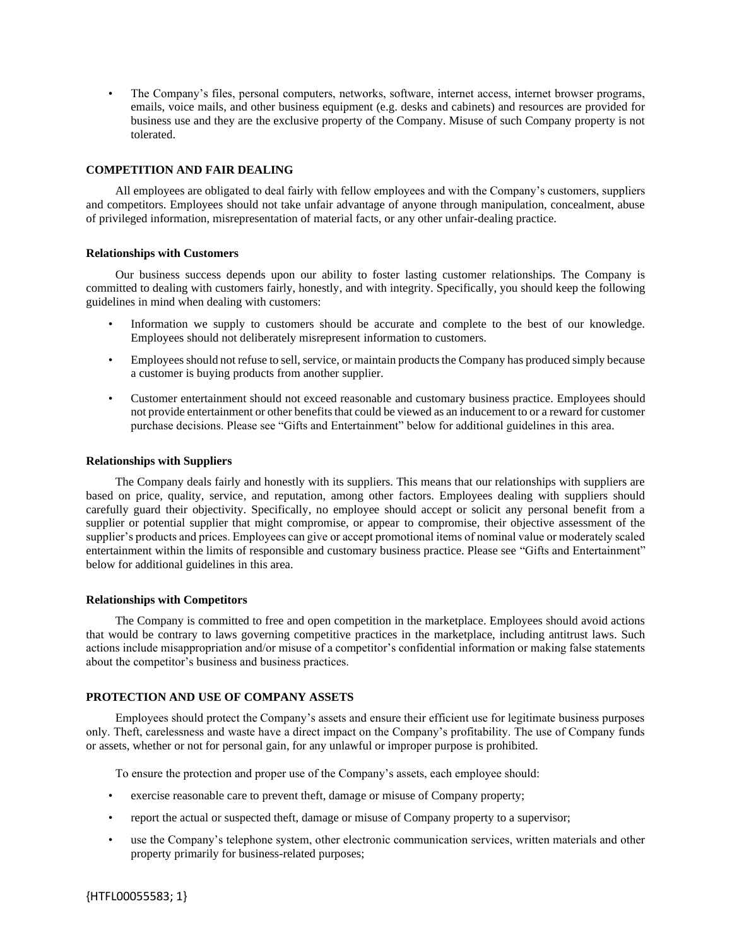• The Company's files, personal computers, networks, software, internet access, internet browser programs, emails, voice mails, and other business equipment (e.g. desks and cabinets) and resources are provided for business use and they are the exclusive property of the Company. Misuse of such Company property is not tolerated.

## **COMPETITION AND FAIR DEALING**

All employees are obligated to deal fairly with fellow employees and with the Company's customers, suppliers and competitors. Employees should not take unfair advantage of anyone through manipulation, concealment, abuse of privileged information, misrepresentation of material facts, or any other unfair-dealing practice.

#### **Relationships with Customers**

Our business success depends upon our ability to foster lasting customer relationships. The Company is committed to dealing with customers fairly, honestly, and with integrity. Specifically, you should keep the following guidelines in mind when dealing with customers:

- Information we supply to customers should be accurate and complete to the best of our knowledge. Employees should not deliberately misrepresent information to customers.
- Employees should not refuse to sell, service, or maintain products the Company has produced simply because a customer is buying products from another supplier.
- Customer entertainment should not exceed reasonable and customary business practice. Employees should not provide entertainment or other benefits that could be viewed as an inducement to or a reward for customer purchase decisions. Please see "Gifts and Entertainment" below for additional guidelines in this area.

## **Relationships with Suppliers**

The Company deals fairly and honestly with its suppliers. This means that our relationships with suppliers are based on price, quality, service, and reputation, among other factors. Employees dealing with suppliers should carefully guard their objectivity. Specifically, no employee should accept or solicit any personal benefit from a supplier or potential supplier that might compromise, or appear to compromise, their objective assessment of the supplier's products and prices. Employees can give or accept promotional items of nominal value or moderately scaled entertainment within the limits of responsible and customary business practice. Please see "Gifts and Entertainment" below for additional guidelines in this area.

#### **Relationships with Competitors**

The Company is committed to free and open competition in the marketplace. Employees should avoid actions that would be contrary to laws governing competitive practices in the marketplace, including antitrust laws. Such actions include misappropriation and/or misuse of a competitor's confidential information or making false statements about the competitor's business and business practices.

# **PROTECTION AND USE OF COMPANY ASSETS**

Employees should protect the Company's assets and ensure their efficient use for legitimate business purposes only. Theft, carelessness and waste have a direct impact on the Company's profitability. The use of Company funds or assets, whether or not for personal gain, for any unlawful or improper purpose is prohibited.

To ensure the protection and proper use of the Company's assets, each employee should:

- exercise reasonable care to prevent theft, damage or misuse of Company property;
- report the actual or suspected theft, damage or misuse of Company property to a supervisor;
- use the Company's telephone system, other electronic communication services, written materials and other property primarily for business-related purposes;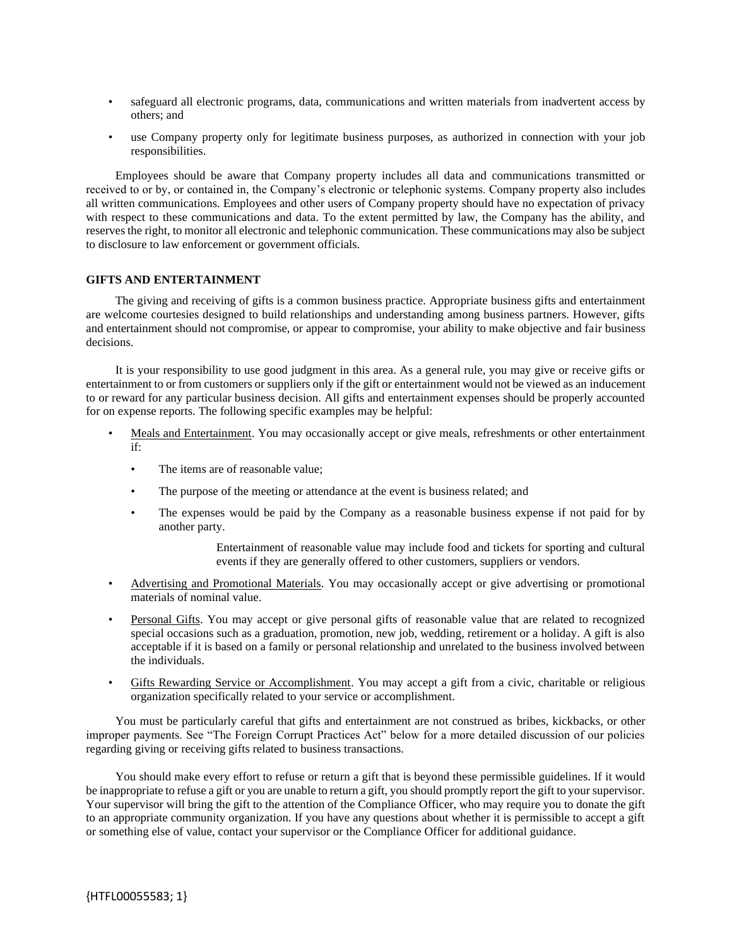- safeguard all electronic programs, data, communications and written materials from inadvertent access by others; and
- use Company property only for legitimate business purposes, as authorized in connection with your job responsibilities.

Employees should be aware that Company property includes all data and communications transmitted or received to or by, or contained in, the Company's electronic or telephonic systems. Company property also includes all written communications. Employees and other users of Company property should have no expectation of privacy with respect to these communications and data. To the extent permitted by law, the Company has the ability, and reserves the right, to monitor all electronic and telephonic communication. These communications may also be subject to disclosure to law enforcement or government officials.

## **GIFTS AND ENTERTAINMENT**

The giving and receiving of gifts is a common business practice. Appropriate business gifts and entertainment are welcome courtesies designed to build relationships and understanding among business partners. However, gifts and entertainment should not compromise, or appear to compromise, your ability to make objective and fair business decisions.

It is your responsibility to use good judgment in this area. As a general rule, you may give or receive gifts or entertainment to or from customers or suppliers only if the gift or entertainment would not be viewed as an inducement to or reward for any particular business decision. All gifts and entertainment expenses should be properly accounted for on expense reports. The following specific examples may be helpful:

- Meals and Entertainment. You may occasionally accept or give meals, refreshments or other entertainment if:
	- The items are of reasonable value;
	- The purpose of the meeting or attendance at the event is business related; and
	- The expenses would be paid by the Company as a reasonable business expense if not paid for by another party.

Entertainment of reasonable value may include food and tickets for sporting and cultural events if they are generally offered to other customers, suppliers or vendors.

- Advertising and Promotional Materials. You may occasionally accept or give advertising or promotional materials of nominal value.
- Personal Gifts. You may accept or give personal gifts of reasonable value that are related to recognized special occasions such as a graduation, promotion, new job, wedding, retirement or a holiday. A gift is also acceptable if it is based on a family or personal relationship and unrelated to the business involved between the individuals.
- Gifts Rewarding Service or Accomplishment. You may accept a gift from a civic, charitable or religious organization specifically related to your service or accomplishment.

You must be particularly careful that gifts and entertainment are not construed as bribes, kickbacks, or other improper payments. See "The Foreign Corrupt Practices Act" below for a more detailed discussion of our policies regarding giving or receiving gifts related to business transactions.

You should make every effort to refuse or return a gift that is beyond these permissible guidelines. If it would be inappropriate to refuse a gift or you are unable to return a gift, you should promptly report the gift to your supervisor. Your supervisor will bring the gift to the attention of the Compliance Officer, who may require you to donate the gift to an appropriate community organization. If you have any questions about whether it is permissible to accept a gift or something else of value, contact your supervisor or the Compliance Officer for additional guidance.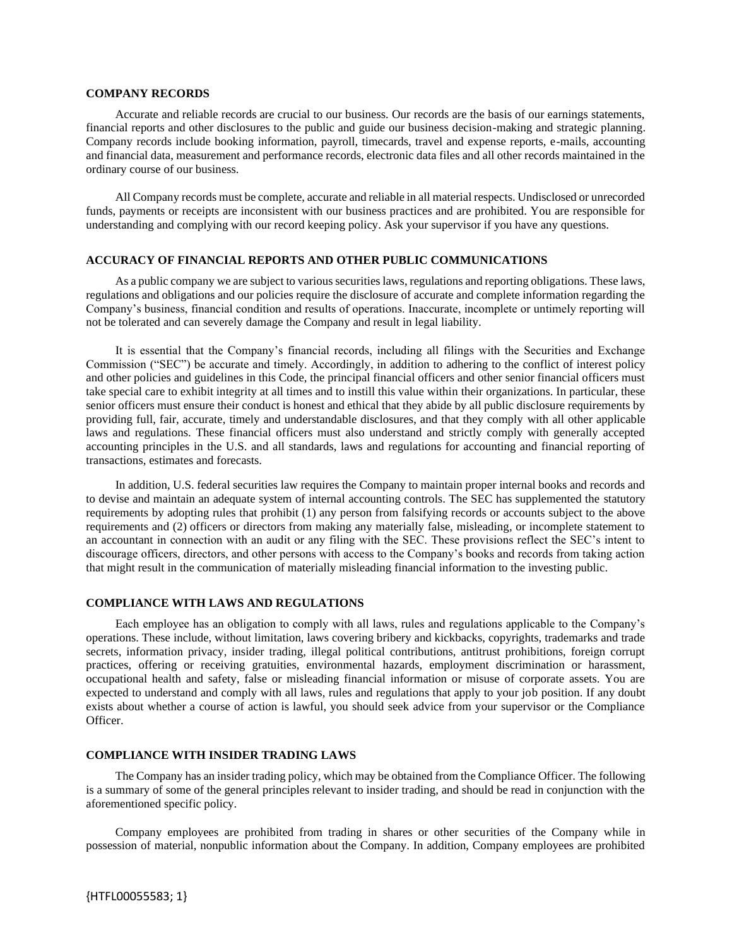#### **COMPANY RECORDS**

Accurate and reliable records are crucial to our business. Our records are the basis of our earnings statements, financial reports and other disclosures to the public and guide our business decision-making and strategic planning. Company records include booking information, payroll, timecards, travel and expense reports, e-mails, accounting and financial data, measurement and performance records, electronic data files and all other records maintained in the ordinary course of our business.

All Company records must be complete, accurate and reliable in all material respects. Undisclosed or unrecorded funds, payments or receipts are inconsistent with our business practices and are prohibited. You are responsible for understanding and complying with our record keeping policy. Ask your supervisor if you have any questions.

## **ACCURACY OF FINANCIAL REPORTS AND OTHER PUBLIC COMMUNICATIONS**

As a public company we are subject to various securities laws, regulations and reporting obligations. These laws, regulations and obligations and our policies require the disclosure of accurate and complete information regarding the Company's business, financial condition and results of operations. Inaccurate, incomplete or untimely reporting will not be tolerated and can severely damage the Company and result in legal liability.

It is essential that the Company's financial records, including all filings with the Securities and Exchange Commission ("SEC") be accurate and timely. Accordingly, in addition to adhering to the conflict of interest policy and other policies and guidelines in this Code, the principal financial officers and other senior financial officers must take special care to exhibit integrity at all times and to instill this value within their organizations. In particular, these senior officers must ensure their conduct is honest and ethical that they abide by all public disclosure requirements by providing full, fair, accurate, timely and understandable disclosures, and that they comply with all other applicable laws and regulations. These financial officers must also understand and strictly comply with generally accepted accounting principles in the U.S. and all standards, laws and regulations for accounting and financial reporting of transactions, estimates and forecasts.

In addition, U.S. federal securities law requires the Company to maintain proper internal books and records and to devise and maintain an adequate system of internal accounting controls. The SEC has supplemented the statutory requirements by adopting rules that prohibit (1) any person from falsifying records or accounts subject to the above requirements and (2) officers or directors from making any materially false, misleading, or incomplete statement to an accountant in connection with an audit or any filing with the SEC. These provisions reflect the SEC's intent to discourage officers, directors, and other persons with access to the Company's books and records from taking action that might result in the communication of materially misleading financial information to the investing public.

#### **COMPLIANCE WITH LAWS AND REGULATIONS**

Each employee has an obligation to comply with all laws, rules and regulations applicable to the Company's operations. These include, without limitation, laws covering bribery and kickbacks, copyrights, trademarks and trade secrets, information privacy, insider trading, illegal political contributions, antitrust prohibitions, foreign corrupt practices, offering or receiving gratuities, environmental hazards, employment discrimination or harassment, occupational health and safety, false or misleading financial information or misuse of corporate assets. You are expected to understand and comply with all laws, rules and regulations that apply to your job position. If any doubt exists about whether a course of action is lawful, you should seek advice from your supervisor or the Compliance Officer.

#### **COMPLIANCE WITH INSIDER TRADING LAWS**

The Company has an insider trading policy, which may be obtained from the Compliance Officer. The following is a summary of some of the general principles relevant to insider trading, and should be read in conjunction with the aforementioned specific policy.

Company employees are prohibited from trading in shares or other securities of the Company while in possession of material, nonpublic information about the Company. In addition, Company employees are prohibited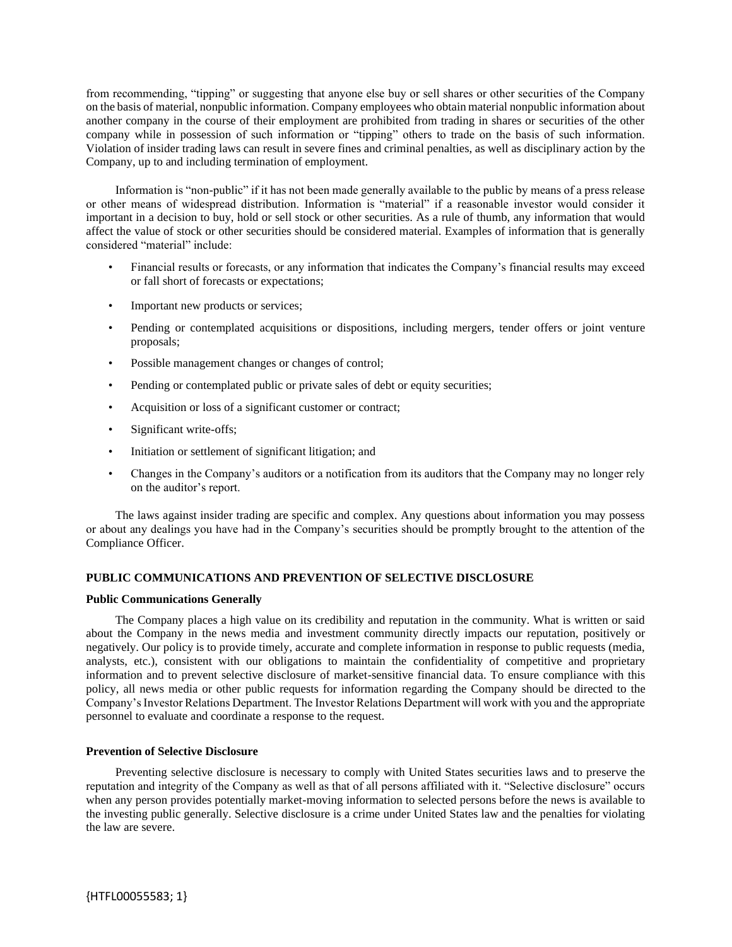from recommending, "tipping" or suggesting that anyone else buy or sell shares or other securities of the Company on the basis of material, nonpublic information. Company employees who obtain material nonpublic information about another company in the course of their employment are prohibited from trading in shares or securities of the other company while in possession of such information or "tipping" others to trade on the basis of such information. Violation of insider trading laws can result in severe fines and criminal penalties, as well as disciplinary action by the Company, up to and including termination of employment.

Information is "non-public" if it has not been made generally available to the public by means of a press release or other means of widespread distribution. Information is "material" if a reasonable investor would consider it important in a decision to buy, hold or sell stock or other securities. As a rule of thumb, any information that would affect the value of stock or other securities should be considered material. Examples of information that is generally considered "material" include:

- Financial results or forecasts, or any information that indicates the Company's financial results may exceed or fall short of forecasts or expectations;
- Important new products or services;
- Pending or contemplated acquisitions or dispositions, including mergers, tender offers or joint venture proposals;
- Possible management changes or changes of control;
- Pending or contemplated public or private sales of debt or equity securities;
- Acquisition or loss of a significant customer or contract;
- Significant write-offs;
- Initiation or settlement of significant litigation; and
- Changes in the Company's auditors or a notification from its auditors that the Company may no longer rely on the auditor's report.

The laws against insider trading are specific and complex. Any questions about information you may possess or about any dealings you have had in the Company's securities should be promptly brought to the attention of the Compliance Officer.

## **PUBLIC COMMUNICATIONS AND PREVENTION OF SELECTIVE DISCLOSURE**

## **Public Communications Generally**

The Company places a high value on its credibility and reputation in the community. What is written or said about the Company in the news media and investment community directly impacts our reputation, positively or negatively. Our policy is to provide timely, accurate and complete information in response to public requests (media, analysts, etc.), consistent with our obligations to maintain the confidentiality of competitive and proprietary information and to prevent selective disclosure of market-sensitive financial data. To ensure compliance with this policy, all news media or other public requests for information regarding the Company should be directed to the Company's Investor Relations Department. The Investor Relations Department will work with you and the appropriate personnel to evaluate and coordinate a response to the request.

## **Prevention of Selective Disclosure**

Preventing selective disclosure is necessary to comply with United States securities laws and to preserve the reputation and integrity of the Company as well as that of all persons affiliated with it. "Selective disclosure" occurs when any person provides potentially market-moving information to selected persons before the news is available to the investing public generally. Selective disclosure is a crime under United States law and the penalties for violating the law are severe.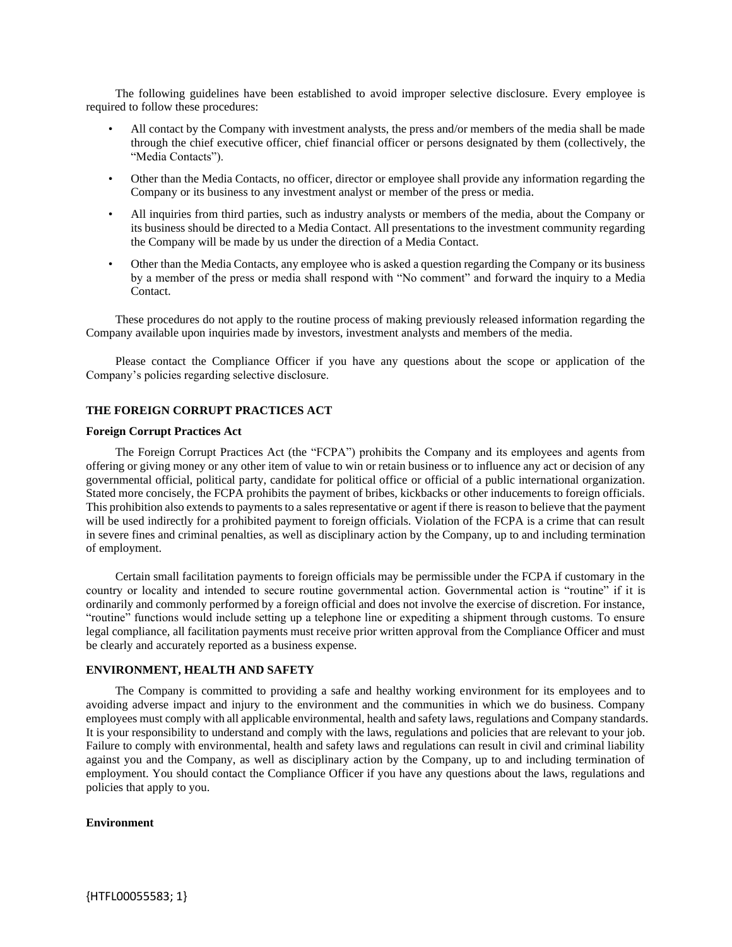The following guidelines have been established to avoid improper selective disclosure. Every employee is required to follow these procedures:

- All contact by the Company with investment analysts, the press and/or members of the media shall be made through the chief executive officer, chief financial officer or persons designated by them (collectively, the "Media Contacts").
- Other than the Media Contacts, no officer, director or employee shall provide any information regarding the Company or its business to any investment analyst or member of the press or media.
- All inquiries from third parties, such as industry analysts or members of the media, about the Company or its business should be directed to a Media Contact. All presentations to the investment community regarding the Company will be made by us under the direction of a Media Contact.
- Other than the Media Contacts, any employee who is asked a question regarding the Company or its business by a member of the press or media shall respond with "No comment" and forward the inquiry to a Media Contact.

These procedures do not apply to the routine process of making previously released information regarding the Company available upon inquiries made by investors, investment analysts and members of the media.

Please contact the Compliance Officer if you have any questions about the scope or application of the Company's policies regarding selective disclosure.

#### **THE FOREIGN CORRUPT PRACTICES ACT**

#### **Foreign Corrupt Practices Act**

The Foreign Corrupt Practices Act (the "FCPA") prohibits the Company and its employees and agents from offering or giving money or any other item of value to win or retain business or to influence any act or decision of any governmental official, political party, candidate for political office or official of a public international organization. Stated more concisely, the FCPA prohibits the payment of bribes, kickbacks or other inducements to foreign officials. This prohibition also extends to payments to a sales representative or agent if there is reason to believe that the payment will be used indirectly for a prohibited payment to foreign officials. Violation of the FCPA is a crime that can result in severe fines and criminal penalties, as well as disciplinary action by the Company, up to and including termination of employment.

Certain small facilitation payments to foreign officials may be permissible under the FCPA if customary in the country or locality and intended to secure routine governmental action. Governmental action is "routine" if it is ordinarily and commonly performed by a foreign official and does not involve the exercise of discretion. For instance, "routine" functions would include setting up a telephone line or expediting a shipment through customs. To ensure legal compliance, all facilitation payments must receive prior written approval from the Compliance Officer and must be clearly and accurately reported as a business expense.

# **ENVIRONMENT, HEALTH AND SAFETY**

The Company is committed to providing a safe and healthy working environment for its employees and to avoiding adverse impact and injury to the environment and the communities in which we do business. Company employees must comply with all applicable environmental, health and safety laws, regulations and Company standards. It is your responsibility to understand and comply with the laws, regulations and policies that are relevant to your job. Failure to comply with environmental, health and safety laws and regulations can result in civil and criminal liability against you and the Company, as well as disciplinary action by the Company, up to and including termination of employment. You should contact the Compliance Officer if you have any questions about the laws, regulations and policies that apply to you.

#### **Environment**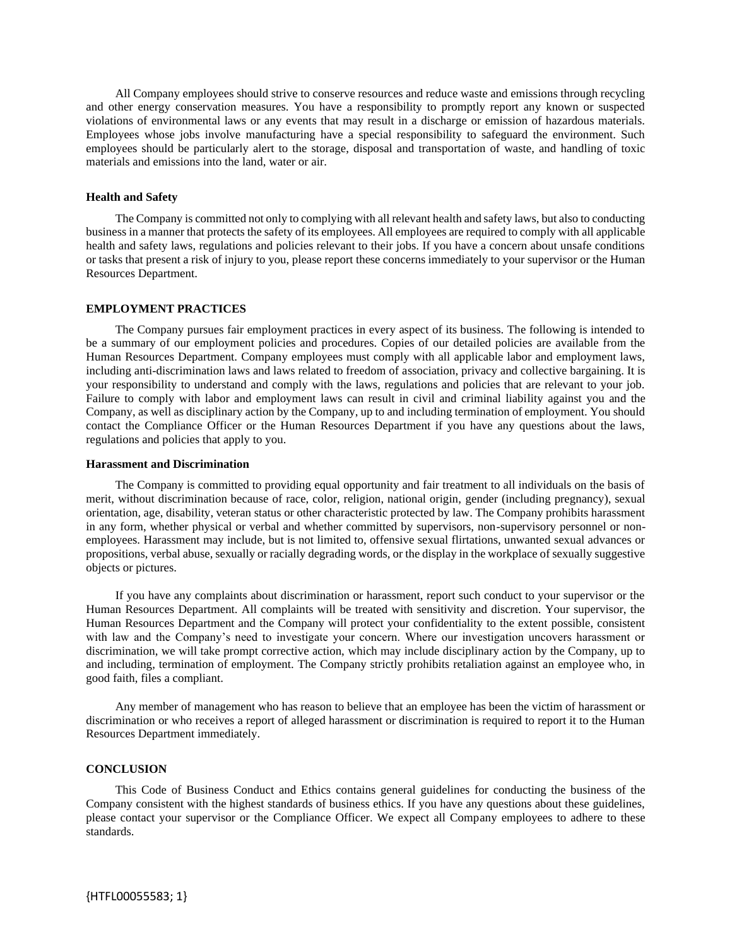All Company employees should strive to conserve resources and reduce waste and emissions through recycling and other energy conservation measures. You have a responsibility to promptly report any known or suspected violations of environmental laws or any events that may result in a discharge or emission of hazardous materials. Employees whose jobs involve manufacturing have a special responsibility to safeguard the environment. Such employees should be particularly alert to the storage, disposal and transportation of waste, and handling of toxic materials and emissions into the land, water or air.

### **Health and Safety**

The Company is committed not only to complying with all relevant health and safety laws, but also to conducting business in a manner that protects the safety of its employees. All employees are required to comply with all applicable health and safety laws, regulations and policies relevant to their jobs. If you have a concern about unsafe conditions or tasks that present a risk of injury to you, please report these concerns immediately to your supervisor or the Human Resources Department.

## **EMPLOYMENT PRACTICES**

The Company pursues fair employment practices in every aspect of its business. The following is intended to be a summary of our employment policies and procedures. Copies of our detailed policies are available from the Human Resources Department. Company employees must comply with all applicable labor and employment laws, including anti-discrimination laws and laws related to freedom of association, privacy and collective bargaining. It is your responsibility to understand and comply with the laws, regulations and policies that are relevant to your job. Failure to comply with labor and employment laws can result in civil and criminal liability against you and the Company, as well as disciplinary action by the Company, up to and including termination of employment. You should contact the Compliance Officer or the Human Resources Department if you have any questions about the laws, regulations and policies that apply to you.

#### **Harassment and Discrimination**

The Company is committed to providing equal opportunity and fair treatment to all individuals on the basis of merit, without discrimination because of race, color, religion, national origin, gender (including pregnancy), sexual orientation, age, disability, veteran status or other characteristic protected by law. The Company prohibits harassment in any form, whether physical or verbal and whether committed by supervisors, non-supervisory personnel or nonemployees. Harassment may include, but is not limited to, offensive sexual flirtations, unwanted sexual advances or propositions, verbal abuse, sexually or racially degrading words, or the display in the workplace of sexually suggestive objects or pictures.

If you have any complaints about discrimination or harassment, report such conduct to your supervisor or the Human Resources Department. All complaints will be treated with sensitivity and discretion. Your supervisor, the Human Resources Department and the Company will protect your confidentiality to the extent possible, consistent with law and the Company's need to investigate your concern. Where our investigation uncovers harassment or discrimination, we will take prompt corrective action, which may include disciplinary action by the Company, up to and including, termination of employment. The Company strictly prohibits retaliation against an employee who, in good faith, files a compliant.

Any member of management who has reason to believe that an employee has been the victim of harassment or discrimination or who receives a report of alleged harassment or discrimination is required to report it to the Human Resources Department immediately.

## **CONCLUSION**

This Code of Business Conduct and Ethics contains general guidelines for conducting the business of the Company consistent with the highest standards of business ethics. If you have any questions about these guidelines, please contact your supervisor or the Compliance Officer. We expect all Company employees to adhere to these standards.